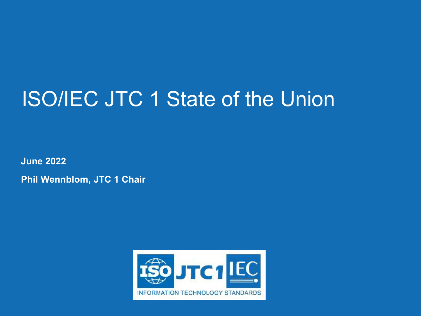### ISO/IEC JTC 1 State of the Union

**June 2022**

**Phil Wennblom, JTC 1 Chair**

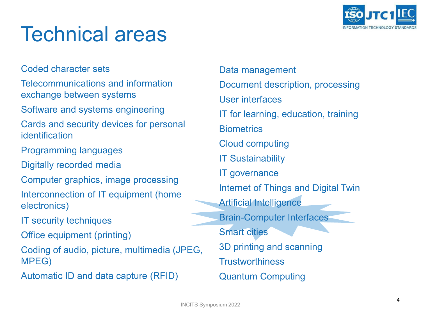

#### Technical areas

Coded character sets

Telecommunications and information exchange between systems

Software and systems engineering

Cards and security devices for personal identification

Programming languages

Digitally recorded media

Computer graphics, image processing Interconnection of IT equipment (home electronics)

IT security techniques

Office equipment (printing)

Coding of audio, picture, multimedia (JPEG, MPEG)

Automatic ID and data capture (RFID)

Data management Document description, processing User interfaces IT for learning, education, training **Biometrics** Cloud computing IT Sustainability IT governance Internet of Things and Digital Twin Artificial Intelligence Brain-Computer Interfaces Smart cities 3D printing and scanning **Trustworthiness** Quantum Computing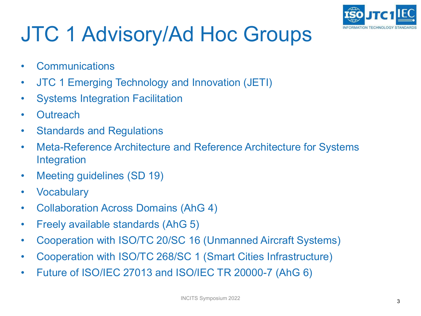

# JTC 1 Advisory/Ad Hoc Groups

- Communications
- JTC 1 Emerging Technology and Innovation (JETI)
- Systems Integration Facilitation
- Outreach
- Standards and Regulations
- Meta-Reference Architecture and Reference Architecture for Systems Integration
- Meeting guidelines (SD 19)
- Vocabulary
- Collaboration Across Domains (AhG 4)
- Freely available standards (AhG 5)
- Cooperation with ISO/TC 20/SC 16 (Unmanned Aircraft Systems)
- Cooperation with ISO/TC 268/SC 1 (Smart Cities Infrastructure)
- Future of ISO/IEC 27013 and ISO/IEC TR 20000-7 (AhG 6)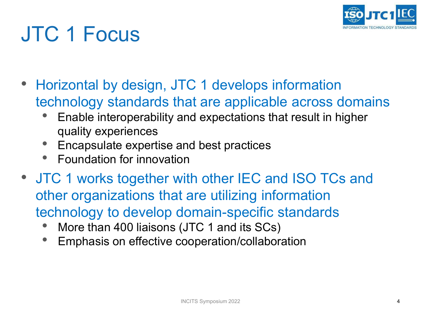

# JTC 1 Focus

- Horizontal by design, JTC 1 develops information technology standards that are applicable across domains
	- Enable interoperability and expectations that result in higher quality experiences
	- Encapsulate expertise and best practices
	- Foundation for innovation
- JTC 1 works together with other IEC and ISO TCs and other organizations that are utilizing information technology to develop domain-specific standards
	- More than 400 liaisons (JTC 1 and its SCs)
	- Emphasis on effective cooperation/collaboration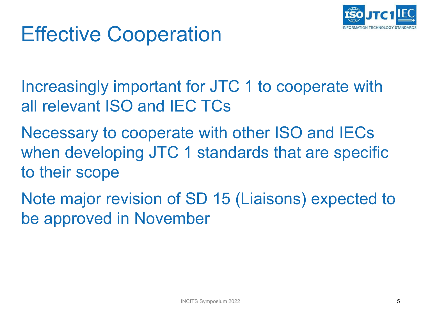

### Effective Cooperation

Increasingly important for JTC 1 to cooperate with all relevant ISO and IEC TCs

Necessary to cooperate with other ISO and IECs when developing JTC 1 standards that are specific to their scope

Note major revision of SD 15 (Liaisons) expected to be approved in November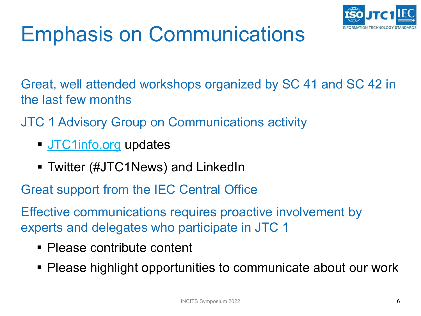

# Emphasis on Communications

Great, well attended workshops organized by SC 41 and SC 42 in the last few months

- JTC 1 Advisory Group on Communications activity
	- **[JTC1info.org](https://jtc1info.org/) updates**
	- Twitter (#JTC1News) and LinkedIn

Great support from the IEC Central Office

Effective communications requires proactive involvement by experts and delegates who participate in JTC 1

- Please contribute content
- Please highlight opportunities to communicate about our work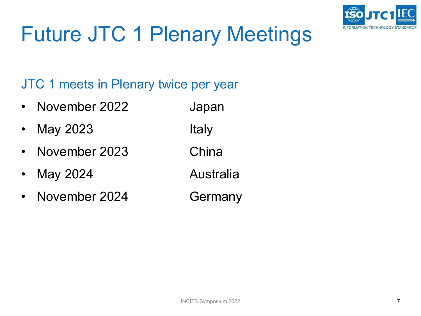

# Future JTC 1 Plenary Meetings

#### JTC 1 meets in Plenary twice per year

- November 2022 Japan
- May 2023 Italy
- November 2023 China
- May 2024 **Australia**
- November 2024 Germany
-